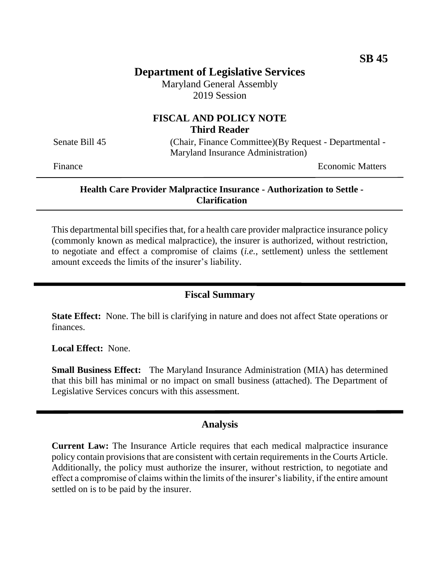# **Department of Legislative Services**

Maryland General Assembly 2019 Session

# **FISCAL AND POLICY NOTE Third Reader**

Senate Bill 45 (Chair, Finance Committee)(By Request - Departmental -Maryland Insurance Administration)

Finance **Exercise Economic Matters** 

#### **Health Care Provider Malpractice Insurance - Authorization to Settle - Clarification**

This departmental bill specifies that, for a health care provider malpractice insurance policy (commonly known as medical malpractice), the insurer is authorized, without restriction, to negotiate and effect a compromise of claims (*i.e.*, settlement) unless the settlement amount exceeds the limits of the insurer's liability.

### **Fiscal Summary**

**State Effect:** None. The bill is clarifying in nature and does not affect State operations or finances.

**Local Effect:** None.

**Small Business Effect:** The Maryland Insurance Administration (MIA) has determined that this bill has minimal or no impact on small business (attached). The Department of Legislative Services concurs with this assessment.

### **Analysis**

**Current Law:** The Insurance Article requires that each medical malpractice insurance policy contain provisions that are consistent with certain requirements in the Courts Article. Additionally, the policy must authorize the insurer, without restriction, to negotiate and effect a compromise of claims within the limits of the insurer's liability, if the entire amount settled on is to be paid by the insurer.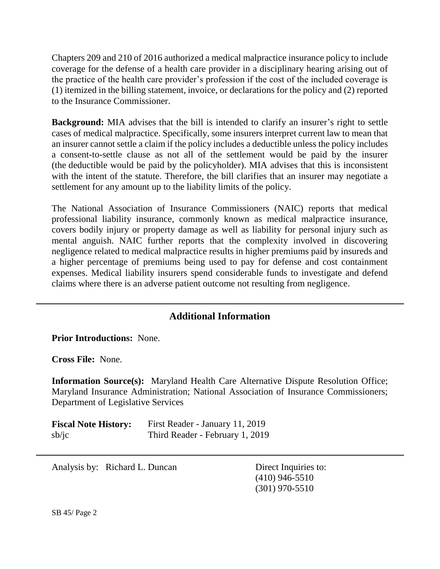Chapters 209 and 210 of 2016 authorized a medical malpractice insurance policy to include coverage for the defense of a health care provider in a disciplinary hearing arising out of the practice of the health care provider's profession if the cost of the included coverage is (1) itemized in the billing statement, invoice, or declarations for the policy and (2) reported to the Insurance Commissioner.

**Background:** MIA advises that the bill is intended to clarify an insurer's right to settle cases of medical malpractice. Specifically, some insurers interpret current law to mean that an insurer cannot settle a claim if the policy includes a deductible unless the policy includes a consent-to-settle clause as not all of the settlement would be paid by the insurer (the deductible would be paid by the policyholder). MIA advises that this is inconsistent with the intent of the statute. Therefore, the bill clarifies that an insurer may negotiate a settlement for any amount up to the liability limits of the policy.

The National Association of Insurance Commissioners (NAIC) reports that medical professional liability insurance, commonly known as medical malpractice insurance, covers bodily injury or property damage as well as liability for personal injury such as mental anguish. NAIC further reports that the complexity involved in discovering negligence related to medical malpractice results in higher premiums paid by insureds and a higher percentage of premiums being used to pay for defense and cost containment expenses. Medical liability insurers spend considerable funds to investigate and defend claims where there is an adverse patient outcome not resulting from negligence.

# **Additional Information**

**Prior Introductions:** None.

**Cross File:** None.

**Information Source(s):** Maryland Health Care Alternative Dispute Resolution Office; Maryland Insurance Administration; National Association of Insurance Commissioners; Department of Legislative Services

| <b>Fiscal Note History:</b> | First Reader - January 11, 2019 |
|-----------------------------|---------------------------------|
| sb/ic                       | Third Reader - February 1, 2019 |

Analysis by: Richard L. Duncan Direct Inquiries to:

(410) 946-5510 (301) 970-5510